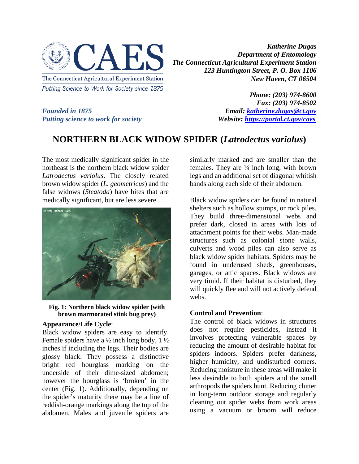

*Katherine Dugas Department of Entomology The Connecticut Agricultural Experiment Station 123 Huntington Street, P. O. Box 1106 New Haven, CT 06504*

*Putting science to work for society Website: <https://portal.ct.gov/caes>*

*Phone: (203) 974-8600 Fax: (203) 974-8502 Founded in 1875 Email: [katherine.dugas@ct.gov](mailto:katherine.dugas@ct.gov)*

## **NORTHERN BLACK WIDOW SPIDER (***Latrodectus variolus***)**

The most medically significant spider in the northeast is the northern black widow spider *Latrodectus variolus*. The closely related brown widow spider (*L. geometricus*) and the false widows (*Steatoda*) have bites that are medically significant, but are less severe.



**Fig. 1: Northern black widow spider (with brown marmorated stink bug prey)**

## **Appearance/Life Cycle**:

Black widow spiders are easy to identify. Female spiders have a  $\frac{1}{2}$  inch long body,  $1\frac{1}{2}$ inches if including the legs. Their bodies are glossy black. They possess a distinctive bright red hourglass marking on the underside of their dime-sized abdomen; however the hourglass is 'broken' in the center (Fig. 1). Additionally, depending on the spider's maturity there may be a line of reddish-orange markings along the top of the abdomen. Males and juvenile spiders are

similarly marked and are smaller than the females. They are  $\frac{1}{4}$  inch long, with brown legs and an additional set of diagonal whitish bands along each side of their abdomen.

Black widow spiders can be found in natural shelters such as hollow stumps, or rock piles. They build three-dimensional webs and prefer dark, closed in areas with lots of attachment points for their webs. Man-made structures such as colonial stone walls, culverts and wood piles can also serve as black widow spider habitats. Spiders may be found in underused sheds, greenhouses, garages, or attic spaces. Black widows are very timid. If their habitat is disturbed, they will quickly flee and will not actively defend webs.

## **Control and Prevention**:

The control of black widows in structures does not require pesticides, instead it involves protecting vulnerable spaces by reducing the amount of desirable habitat for spiders indoors. Spiders prefer darkness, higher humidity, and undisturbed corners. Reducing moisture in these areas will make it less desirable to both spiders and the small arthropods the spiders hunt. Reducing clutter in long-term outdoor storage and regularly cleaning out spider webs from work areas using a vacuum or broom will reduce